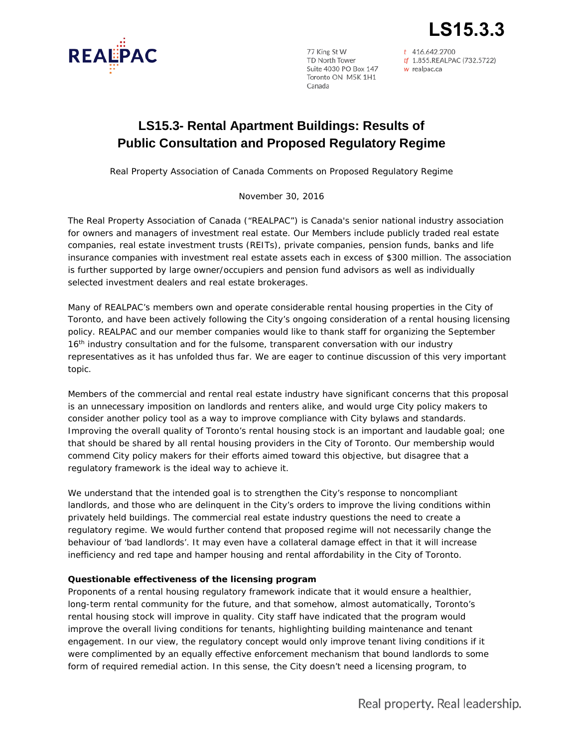

77 King St W Toronto ON M5K 1H1 Canada

t 416.642.2700 The Case of the CALITY STATE 1997<br>TD North Tower<br>Suite 4030 PO Box 147 *w* realpac.ca

**LS15.3.3**

# **LS15.3- Rental Apartment Buildings: Results of Public Consultation and Proposed Regulatory Regime**

Real Property Association of Canada Comments on Proposed Regulatory Regime

November 30, 2016

The Real Property Association of Canada ("REALPAC") is Canada's senior national industry association for owners and managers of investment real estate. Our Members include publicly traded real estate companies, real estate investment trusts (REITs), private companies, pension funds, banks and life insurance companies with investment real estate assets each in excess of \$300 million. The association is further supported by large owner/occupiers and pension fund advisors as well as individually selected investment dealers and real estate brokerages.

Many of REALPAC's members own and operate considerable rental housing properties in the City of Toronto, and have been actively following the City's ongoing consideration of a rental housing licensing policy. REALPAC and our member companies would like to thank staff for organizing the September 16<sup>th</sup> industry consultation and for the fulsome, transparent conversation with our industry representatives as it has unfolded thus far. We are eager to continue discussion of this very important topic.

Members of the commercial and rental real estate industry have significant concerns that this proposal is an unnecessary imposition on landlords and renters alike, and would urge City policy makers to consider another policy tool as a way to improve compliance with City bylaws and standards. Improving the overall quality of Toronto's rental housing stock is an important and laudable goal; one that should be shared by all rental housing providers in the City of Toronto. Our membership would commend City policy makers for their efforts aimed toward this objective, but disagree that a regulatory framework is the ideal way to achieve it.

We understand that the intended goal is to strengthen the City's response to noncompliant landlords, and those who are delinquent in the City's orders to improve the living conditions within privately held buildings. The commercial real estate industry questions the need to create a regulatory regime. We would further contend that proposed regime will not necessarily change the behaviour of 'bad landlords'. It may even have a collateral damage effect in that it will increase inefficiency and red tape and hamper housing and rental affordability in the City of Toronto.

## **Questionable effectiveness of the licensing program**

Proponents of a rental housing regulatory framework indicate that it would ensure a healthier, long-term rental community for the future, and that somehow, almost automatically, Toronto's rental housing stock will improve in quality. City staff have indicated that the program would improve the overall living conditions for tenants, highlighting building maintenance and tenant engagement. In our view, the regulatory concept would only improve tenant living conditions if it were complimented by an equally effective enforcement mechanism that bound landlords to some form of required remedial action. In this sense, the City doesn't need a licensing program, to